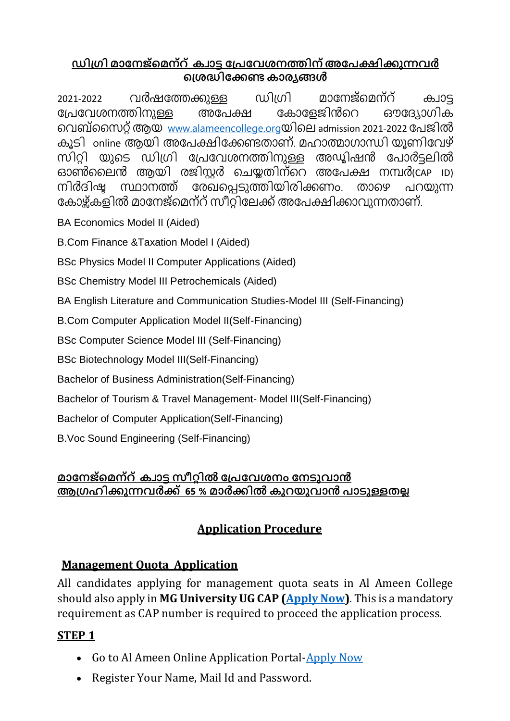#### **ഡിഗ്രി മാനേജ്മമേ്റ്ക്വാട്ട നഗ്േനേശേത്തിേ്അനേക്ഷിക്കുന്നേർ മഗ്ശദ്ധിനക്കണ്ടക്ാര്യങ്ങൾ**

2021-2022 വർഷത്തേക്കുള്ള ഡിഗ്രി മാനേജ്മെന്റ് ക്വാട്ട<br>പ്രേവേശനത്തിനുള്ള അപേക്ഷ കോളേജിൻറെ ഔദ്യോഗിക പ്രേവേശനത്തിനുള്ള അപേക്ഷ കോളേജിൻറെ ഔദ്യോഗിക മവബ്സൈറ്റ്ആയ [www.alameencollege.org](http://www.alameencollege.org/)യിമെ admission 2021-2022 ത്തേജിൽ ക്ൂടി online ആയി അത്തേക്ഷിത്തക്കണ്ടതാണ്. മഹാത്മാരാന്ധി യൂണിത്തവഴ് സിറ്റി യുടെ ഡിഗ്രി പ്രേവേശനത്തിനുള്ള അഡ്യിഷൻ പോർട്ടലിൽ ഓൺലൈൻ ആയി രജിസ്റ്റർ ചെയ്തതിന്റെ അപേക്ഷ നമ്പർ(CAP iD) നിർദിഷ്ട സ്ഥാനത്ത് രേഖപ്പെടുത്തിയിരിക്കണം. താഴെ പറയുന്ന കോഴ്ക്കളിൽ മാനേജ്മെന്റ് സീറ്റിലേക്ക് അപേക്ഷിക്കാവുന്നതാണ്.

BA Economics Model II (Aided)

B.Com Finance &Taxation Model I (Aided)

BSc Physics Model II Computer Applications (Aided)

BSc Chemistry Model III Petrochemicals (Aided)

BA English Literature and Communication Studies-Model III (Self-Financing)

B.Com Computer Application Model II(Self-Financing)

BSc Computer Science Model III (Self-Financing)

BSc Biotechnology Model III(Self-Financing)

Bachelor of Business Administration(Self-Financing)

Bachelor of Tourism & Travel Management- Model III(Self-Financing)

Bachelor of Computer Application(Self-Financing)

B.Voc Sound Engineering (Self-Financing)

#### **മാനേജ്മമേ്റ്ക്വാട്ട സീറ്റിൽ നഗ്േനേശേം നേടുോൻ ആഗ്രഹിക്കുന്നേർക്ക് 65 % മാർക്കിൽ ക്ുറയുോൻ ോടുള്ളതല്ല**

# **Application Procedure**

### **Management Quota Application**

All candidates applying for management quota seats in Al Ameen College should also apply in **MG University UG CAP [\(Apply Now\)](https://cap.mgu.ac.in/ug2021_regular/account.jsp)**. This is a mandatory requirement as CAP number is required to proceed the application process.

### **STEP 1**

- Go to Al Ameen Online Application Portal[-Apply Now](http://onlinetcsalameen.meshilogic.co.in/Register.aspx?Type=MQ)
- Register Your Name, Mail Id and Password.